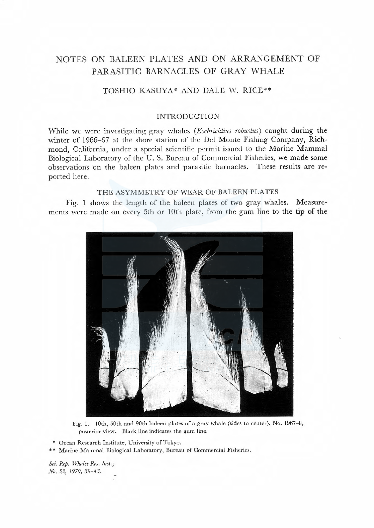# NOTES ON BALEEN PLATES AND ON ARRANGEMENT OF PARASITIC BARNACLES OF GRAY WHALE

## TOSHIO KASUYA\* AND DALE W. RICE\*\*

## INTRODUCTION

While we were investigating gray whales (*Eschrichtius robustus*) caught during the winter of 1966-67 at the shore station of the Del Monte Fishing Company, Richmond, California, under a special scientific permit issued to the Marine Mammal Biological Laboratory of the U. S. Bureau of Commercial Fisheries, we made some observations on the baleen plates and parasitic barnacles. These results are reported here.

## THE ASYMMETRY OF WEAR OF BALEEN PLATES

Fig. 1 shows the length of the baleen plates of two gray whales. Measurements were made on every 5th or 10th plate, from the gum line to the tip of the



Fig. 1. 10th, 50th and 90th baleen plates of a gray whale (sides to center), No. 1967-8, posterior view. Black line indicates the gum line.

• Ocean Research Institute, University of Tokyo.

\*\* Marine Mammal Biological Laboratory, Bureau of Commercial Fisheries.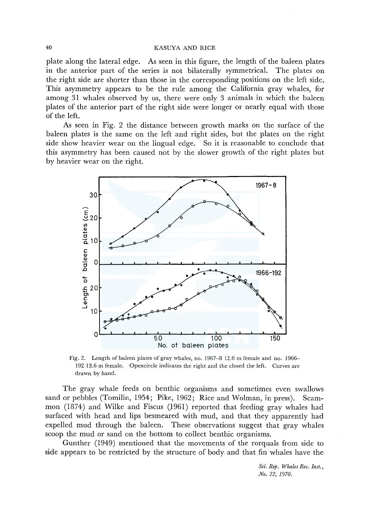### 40 KASUYA AND RICE

plate along the lateral edge. As seen in this figure, the length of the baleen plates in the anterior part of the series is not bilaterally symmetrical. The plates on the right side are shorter than those in the corresponding positions on the left side. This asymmetry appears to be the rule among the California gray whales, for among 31 whales observed by us, there were only 3 animals in which the baleen plates of the anterior part of the right side were longer or nearly equal with those of the left.

As seen in Fig. 2 the distance between growth marks on the surface of the baleen plates is the same on the left and right sides, but the plates on the right side show heavier wear on the lingual edge. So it is reasonable to conclude that this asymmetry has been caused not by the slower growth of the right plates but by heavier wear on the right.



Fig. 2. Length of baleen plates of gray whales, no. 1967-8 12.6 m female and no. 1966- 192 13.6 m female. Opencircle indicates the right and the closed the left. Curves are drawn by hand.

The gray whale feeds on benthic organisms and sometimes even swallows sand or pebbles (Tomilin, 1954; Pike, 1962; Rice and Wolman, in press). Scammon (1874) and Wilke and Fiscus (J961) reported that feeding gray whales had surfaced with head and lips besmeared with mud, and that they apparently had expelled mud through the baleen. These observations suggest that gray whales scoop the mud or sand on the bottom to collect benthic organisms.

Gunther (1949) mentioned that the movements of the rorquals from side to side appears to be restricted by the structure of body and that fin whales have the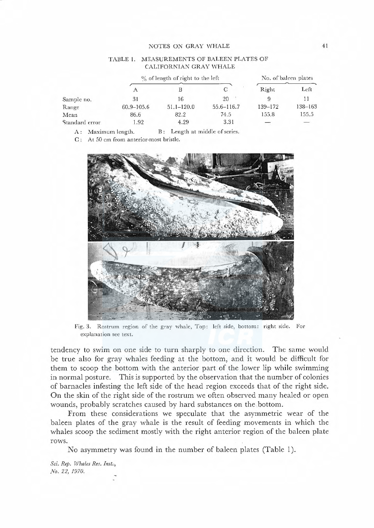#### NOTES ON GRAY WHALE

### TABLE 1. MEASUREMENTS OF BALEEN PLATES OF CALIFORNIAN GRAY WHALE

|                | $\%$ of length of right to the left |                |                | No. of baleen plates |                                                                                                                                                                                                                                                                                                                                                                                                                                                                       |
|----------------|-------------------------------------|----------------|----------------|----------------------|-----------------------------------------------------------------------------------------------------------------------------------------------------------------------------------------------------------------------------------------------------------------------------------------------------------------------------------------------------------------------------------------------------------------------------------------------------------------------|
|                |                                     |                |                | Right                | Left                                                                                                                                                                                                                                                                                                                                                                                                                                                                  |
| Sample no.     | 31                                  | 16             | 20             |                      |                                                                                                                                                                                                                                                                                                                                                                                                                                                                       |
| Range          | $60.9 - 105.6$                      | $51.1 - 120.0$ | $55.6 - 116.7$ | 139-172              | 138-163                                                                                                                                                                                                                                                                                                                                                                                                                                                               |
| Mean           | 86.6                                | 82.2           | 74.5           | 155.8                | 155.5                                                                                                                                                                                                                                                                                                                                                                                                                                                                 |
| Standard error | 1.92                                | 4.29           | 3.31           |                      | $\hspace{1.5cm} \overbrace{ } \hspace{1.5cm} \overbrace{ } \hspace{1.5cm} \overbrace{ } \hspace{1.5cm} \overbrace{ } \hspace{1.5cm} \overbrace{ } \hspace{1.5cm} \overbrace{ } \hspace{1.5cm} \overbrace{ } \hspace{1.5cm} \overbrace{ } \hspace{1.5cm} \overbrace{ } \hspace{1.5cm} \overbrace{ } \hspace{1.5cm} \overbrace{ } \hspace{1.5cm} \overbrace{ } \hspace{1.5cm} \overbrace{ } \hspace{1.5cm} \overbrace{ } \hspace{1.5cm} \overbrace{ } \hspace{1.5cm} \$ |

A: Maximum length. B: Length at middle of series.

C: At 50 cm from anterior-most bristle.



Fig. 3. Rostrum region of the gray whale, Top: left side, bottom: right side. For explanation see text.

tendency to swim on one side to turn sharply to one direction. The same would be true also for gray whales feeding at the bottom, and it would be difficult for them to scoop the bottom with the anterior part of the lower lip while swimming in normal posture. This is supported by the observation that the number of colonies of barnacles infesting the left side of the head region exceeds that of the right side. On the skin of the right side of the rostrum we often observed many healed or open wounds, probably scratches caused by hard substances on the bottom.

From these considerations we speculate that the asym metric wear of the baleen plates of the gray whale is the result of feeding movements in which the whales scoop the sediment mostly with the right anterior region of the baleen plate rows.

No asymmetry was found in the number of baleen plates (Table 1).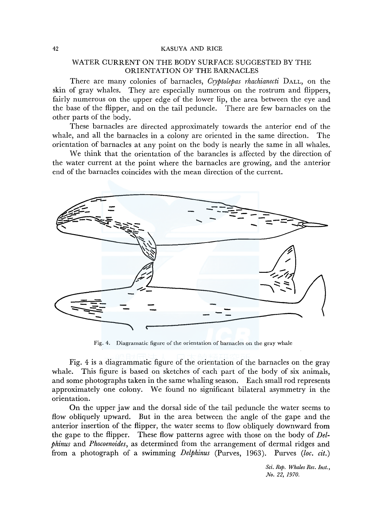#### 42 KASUYA AND RICE

## WATER CURRENT ON THE BODY SURFACE SUGGESTED BY THE ORIENTATION OF THE BARNACLES

There are many colonies of barnacles, *Cryptolepas rhachianecti* DALL, on the skin of gray whales. They are especially numerous on the rostrum and flippers, fairly numerous on the upper edge of the lower lip, the area between the eye and the base of the flipper, and on the tail peduncle. There are few barnacles on the other parts of the body.

These barnacles are directed approximately towards the anterior end of the whale, and all the barnacles in a colony are oriented in the same direction. The orientation of barnacles at any point on the body is nearly the same in all whales.

We think that the orientation of the barancles is affected by the direction of the water current at the point where the barnacles are growing, and the anterior end of the barnacles coincides with the mean direction of the current.



Fig. 4. Diagramatic figure of the orientation of barnacles on the gray whale

Fig. 4 is a diagrammatic figure of the orientation of the barnacles on the gray whale. This figure is based on sketches of each part of the body of six animals, and some photographs taken in the same whaling season. Each small rod represents approximately one colony. We found no significant bilateral asymmetry in the orientation.

On the upper jaw and the dorsal side of the tail peduncle the water seems to flow obliquely upward. But in the area between the angle of the gape and the anterior insertion of the flipper, the water seems to flow obliquely downward from the gape to the flipper. These flow patterns agree with those on the body of *Delphinus* and *Phocoenoides,* as determined from the arrangement of dermal ridges and from a photograph of a swimming *Delphinus* (Purves, 1963). Purves *(loc. cit.)*